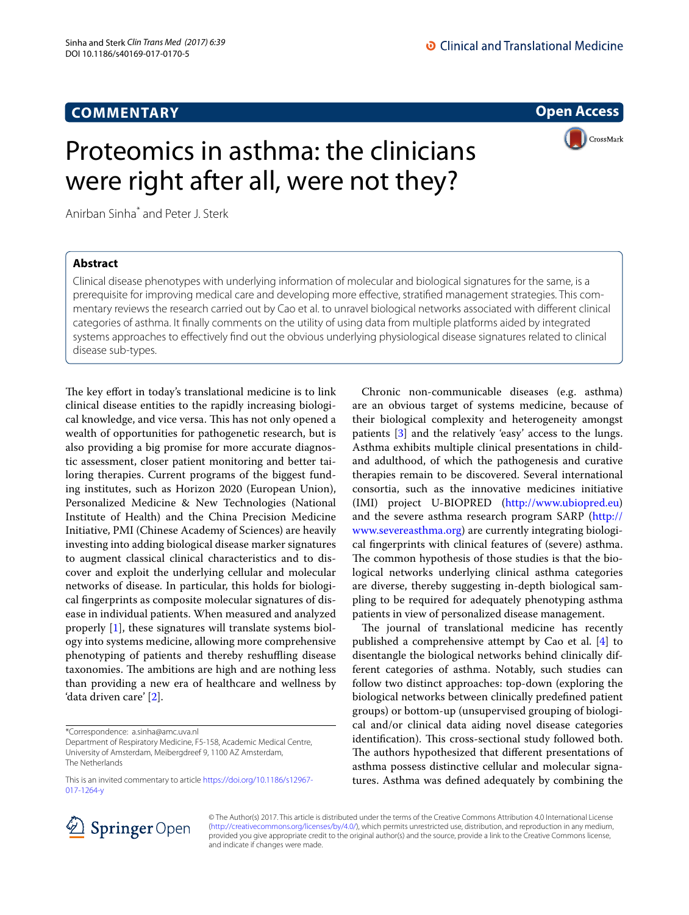**Open Access**

**CrossMark** 

# Proteomics in asthma: the clinicians were right after all, were not they?

Anirban Sinha<sup>\*</sup> and Peter J. Sterk

# **Abstract**

Clinical disease phenotypes with underlying information of molecular and biological signatures for the same, is a prerequisite for improving medical care and developing more efective, stratifed management strategies. This commentary reviews the research carried out by Cao et al. to unravel biological networks associated with diferent clinical categories of asthma. It fnally comments on the utility of using data from multiple platforms aided by integrated systems approaches to efectively fnd out the obvious underlying physiological disease signatures related to clinical disease sub-types.

The key effort in today's translational medicine is to link clinical disease entities to the rapidly increasing biological knowledge, and vice versa. This has not only opened a wealth of opportunities for pathogenetic research, but is also providing a big promise for more accurate diagnostic assessment, closer patient monitoring and better tailoring therapies. Current programs of the biggest funding institutes, such as Horizon 2020 (European Union), Personalized Medicine & New Technologies (National Institute of Health) and the China Precision Medicine Initiative, PMI (Chinese Academy of Sciences) are heavily investing into adding biological disease marker signatures to augment classical clinical characteristics and to discover and exploit the underlying cellular and molecular networks of disease. In particular, this holds for biological fngerprints as composite molecular signatures of disease in individual patients. When measured and analyzed properly [[1\]](#page-2-0), these signatures will translate systems biology into systems medicine, allowing more comprehensive phenotyping of patients and thereby reshufing disease taxonomies. The ambitions are high and are nothing less than providing a new era of healthcare and wellness by 'data driven care' [[2\]](#page-2-1).

Chronic non-communicable diseases (e.g. asthma) are an obvious target of systems medicine, because of their biological complexity and heterogeneity amongst patients [\[3](#page-2-2)] and the relatively 'easy' access to the lungs. Asthma exhibits multiple clinical presentations in childand adulthood, of which the pathogenesis and curative therapies remain to be discovered. Several international consortia, such as the innovative medicines initiative (IMI) project U-BIOPRED (<http://www.ubiopred.eu>) and the severe asthma research program SARP [\(http://](http://www.severeasthma.org) [www.severeasthma.org](http://www.severeasthma.org)) are currently integrating biological fngerprints with clinical features of (severe) asthma. The common hypothesis of those studies is that the biological networks underlying clinical asthma categories are diverse, thereby suggesting in-depth biological sampling to be required for adequately phenotyping asthma patients in view of personalized disease management.

The journal of translational medicine has recently published a comprehensive attempt by Cao et al. [\[4](#page-2-3)] to disentangle the biological networks behind clinically different categories of asthma. Notably, such studies can follow two distinct approaches: top-down (exploring the biological networks between clinically predefned patient groups) or bottom-up (unsupervised grouping of biological and/or clinical data aiding novel disease categories identification). This cross-sectional study followed both. The authors hypothesized that different presentations of asthma possess distinctive cellular and molecular signatures. Asthma was defned adequately by combining the



© The Author(s) 2017. This article is distributed under the terms of the Creative Commons Attribution 4.0 International License [\(http://creativecommons.org/licenses/by/4.0/\)](http://creativecommons.org/licenses/by/4.0/), which permits unrestricted use, distribution, and reproduction in any medium, provided you give appropriate credit to the original author(s) and the source, provide a link to the Creative Commons license, and indicate if changes were made.

<sup>\*</sup>Correspondence: a.sinha@amc.uva.nl

Department of Respiratory Medicine, F5-158, Academic Medical Centre, University of Amsterdam, Meibergdreef 9, 1100 AZ Amsterdam, The Netherlands

This is an invited commentary to article [https://doi.org/10.1186/s12967-](https://doi.org/10.1186/s12967-017-1264-y) [017-1264-y](https://doi.org/10.1186/s12967-017-1264-y)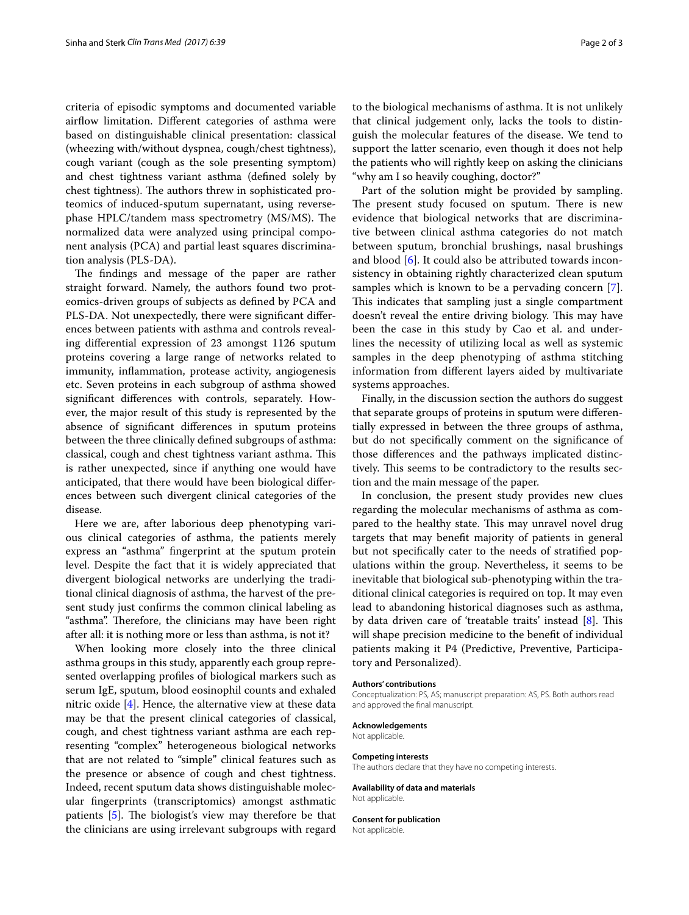criteria of episodic symptoms and documented variable airfow limitation. Diferent categories of asthma were based on distinguishable clinical presentation: classical (wheezing with/without dyspnea, cough/chest tightness), cough variant (cough as the sole presenting symptom) and chest tightness variant asthma (defned solely by chest tightness). The authors threw in sophisticated proteomics of induced-sputum supernatant, using reversephase HPLC/tandem mass spectrometry (MS/MS). The normalized data were analyzed using principal component analysis (PCA) and partial least squares discrimination analysis (PLS-DA).

The findings and message of the paper are rather straight forward. Namely, the authors found two proteomics-driven groups of subjects as defned by PCA and PLS-DA. Not unexpectedly, there were signifcant diferences between patients with asthma and controls revealing diferential expression of 23 amongst 1126 sputum proteins covering a large range of networks related to immunity, infammation, protease activity, angiogenesis etc. Seven proteins in each subgroup of asthma showed signifcant diferences with controls, separately. However, the major result of this study is represented by the absence of signifcant diferences in sputum proteins between the three clinically defned subgroups of asthma: classical, cough and chest tightness variant asthma. This is rather unexpected, since if anything one would have anticipated, that there would have been biological diferences between such divergent clinical categories of the disease.

Here we are, after laborious deep phenotyping various clinical categories of asthma, the patients merely express an "asthma" fngerprint at the sputum protein level. Despite the fact that it is widely appreciated that divergent biological networks are underlying the traditional clinical diagnosis of asthma, the harvest of the present study just confrms the common clinical labeling as "asthma". Therefore, the clinicians may have been right after all: it is nothing more or less than asthma, is not it?

When looking more closely into the three clinical asthma groups in this study, apparently each group represented overlapping profles of biological markers such as serum IgE, sputum, blood eosinophil counts and exhaled nitric oxide [\[4\]](#page-2-3). Hence, the alternative view at these data may be that the present clinical categories of classical, cough, and chest tightness variant asthma are each representing "complex" heterogeneous biological networks that are not related to "simple" clinical features such as the presence or absence of cough and chest tightness. Indeed, recent sputum data shows distinguishable molecular fngerprints (transcriptomics) amongst asthmatic patients  $[5]$  $[5]$  $[5]$ . The biologist's view may therefore be that the clinicians are using irrelevant subgroups with regard

to the biological mechanisms of asthma. It is not unlikely that clinical judgement only, lacks the tools to distinguish the molecular features of the disease. We tend to support the latter scenario, even though it does not help the patients who will rightly keep on asking the clinicians "why am I so heavily coughing, doctor?"

Part of the solution might be provided by sampling. The present study focused on sputum. There is new evidence that biological networks that are discriminative between clinical asthma categories do not match between sputum, bronchial brushings, nasal brushings and blood [[6](#page-2-5)]. It could also be attributed towards inconsistency in obtaining rightly characterized clean sputum samples which is known to be a pervading concern [\[7](#page-2-6)]. This indicates that sampling just a single compartment doesn't reveal the entire driving biology. This may have been the case in this study by Cao et al. and underlines the necessity of utilizing local as well as systemic samples in the deep phenotyping of asthma stitching information from diferent layers aided by multivariate systems approaches.

Finally, in the discussion section the authors do suggest that separate groups of proteins in sputum were diferentially expressed in between the three groups of asthma, but do not specifcally comment on the signifcance of those diferences and the pathways implicated distinctively. This seems to be contradictory to the results section and the main message of the paper.

In conclusion, the present study provides new clues regarding the molecular mechanisms of asthma as compared to the healthy state. This may unravel novel drug targets that may beneft majority of patients in general but not specifcally cater to the needs of stratifed populations within the group. Nevertheless, it seems to be inevitable that biological sub-phenotyping within the traditional clinical categories is required on top. It may even lead to abandoning historical diagnoses such as asthma, by data driven care of 'treatable traits' instead  $[8]$  $[8]$ . This will shape precision medicine to the beneft of individual patients making it P4 (Predictive, Preventive, Participatory and Personalized).

### **Authors' contributions**

Conceptualization: PS, AS; manuscript preparation: AS, PS. Both authors read and approved the fnal manuscript.

## **Acknowledgements** Not applicable.

#### **Competing interests**

The authors declare that they have no competing interests.

**Availability of data and materials** Not applicable.

### **Consent for publication**

Not applicable.